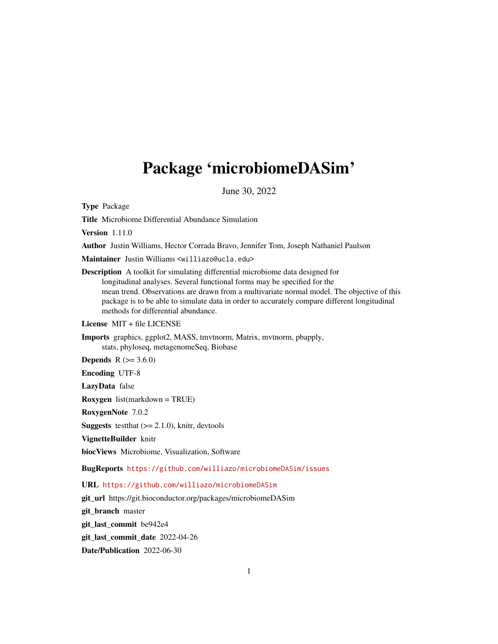# <span id="page-0-0"></span>Package 'microbiomeDASim'

June 30, 2022

Type Package

Title Microbiome Differential Abundance Simulation

Version 1.11.0

Author Justin Williams, Hector Corrada Bravo, Jennifer Tom, Joseph Nathaniel Paulson

Maintainer Justin Williams <williazo@ucla.edu>

Description A toolkit for simulating differential microbiome data designed for longitudinal analyses. Several functional forms may be specified for the mean trend. Observations are drawn from a multivariate normal model. The objective of this package is to be able to simulate data in order to accurately compare different longitudinal methods for differential abundance.

License MIT + file LICENSE

Imports graphics, ggplot2, MASS, tmvtnorm, Matrix, mvtnorm, pbapply, stats, phyloseq, metagenomeSeq, Biobase

**Depends** R  $(>= 3.6.0)$ 

Encoding UTF-8

LazyData false

Roxygen list(markdown = TRUE)

RoxygenNote 7.0.2

**Suggests** test that  $(>= 2.1.0)$ , knitr, devtools

VignetteBuilder knitr

biocViews Microbiome, Visualization, Software

BugReports <https://github.com/williazo/microbiomeDASim/issues>

URL <https://github.com/williazo/microbiomeDASim>

git\_url https://git.bioconductor.org/packages/microbiomeDASim

git\_branch master

git\_last\_commit be942e4

git\_last\_commit\_date 2022-04-26

Date/Publication 2022-06-30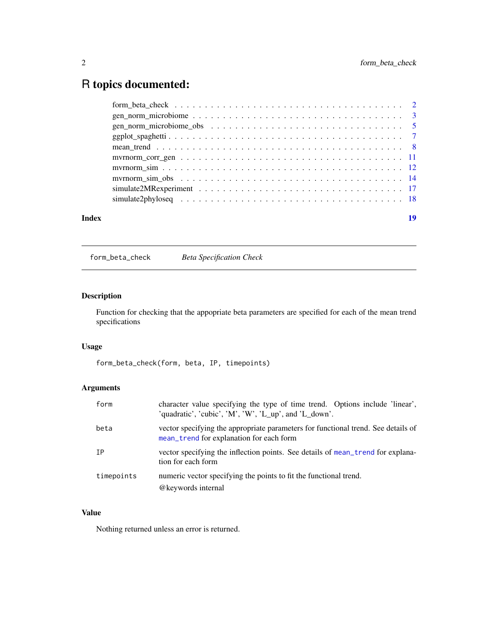## <span id="page-1-0"></span>R topics documented:

| Index |  | 19 |
|-------|--|----|

form\_beta\_check *Beta Specification Check*

#### Description

Function for checking that the appopriate beta parameters are specified for each of the mean trend specifications

#### Usage

form\_beta\_check(form, beta, IP, timepoints)

#### Arguments

| form       | character value specifying the type of time trend. Options include 'linear',<br>'quadratic', 'cubic', 'M', 'W', 'L_up', and 'L_down'. |
|------------|---------------------------------------------------------------------------------------------------------------------------------------|
| beta       | vector specifying the appropriate parameters for functional trend. See details of<br>mean_trend for explanation for each form         |
| IΡ         | vector specifying the inflection points. See details of mean_trend for explana-<br>tion for each form                                 |
| timepoints | numeric vector specifying the points to fit the functional trend.<br>@keywords internal                                               |

#### Value

Nothing returned unless an error is returned.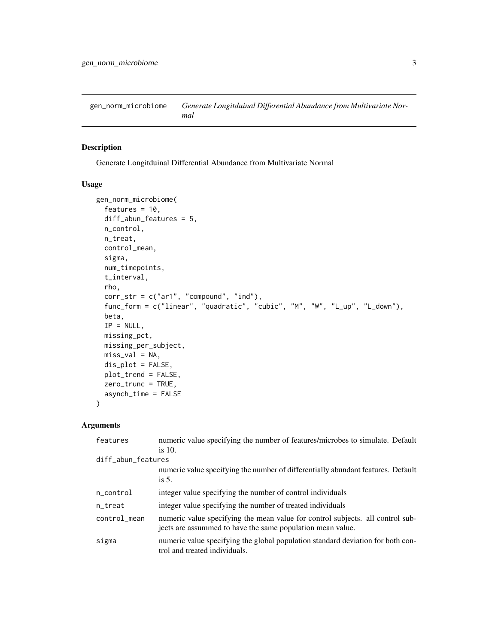<span id="page-2-1"></span><span id="page-2-0"></span>gen\_norm\_microbiome *Generate Longitduinal Differential Abundance from Multivariate Normal*

#### Description

Generate Longitduinal Differential Abundance from Multivariate Normal

#### Usage

```
gen_norm_microbiome(
  features = 10,
  diff_abun_features = 5,
 n_control,
 n_treat,
  control_mean,
  sigma,
  num_timepoints,
  t_interval,
  rho,
  corr\_str = c("ar1", "compound", "ind"),func_form = c("linear", "quadratic", "cubic", "M", "W", "L_up", "L_down"),
 beta,
  IP = NULL,missing_pct,
 missing_per_subject,
 miss_val = NA,
  dis_plot = FALSE,
 plot_trend = FALSE,
  zero_trunc = TRUE,
  asynch_time = FALSE
\lambda
```
#### Arguments

| features           | numeric value specifying the number of features/microbes to simulate. Default                                                                |
|--------------------|----------------------------------------------------------------------------------------------------------------------------------------------|
|                    | is $10$ .                                                                                                                                    |
| diff_abun_features |                                                                                                                                              |
|                    | numeric value specifying the number of differentially abundant features. Default                                                             |
|                    | is $5$ .                                                                                                                                     |
| n_control          | integer value specifying the number of control individuals                                                                                   |
| n_treat            | integer value specifying the number of treated individuals                                                                                   |
| control_mean       | numeric value specifying the mean value for control subjects. all control sub-<br>jects are assummed to have the same population mean value. |
| sigma              | numeric value specifying the global population standard deviation for both con-<br>trol and treated individuals.                             |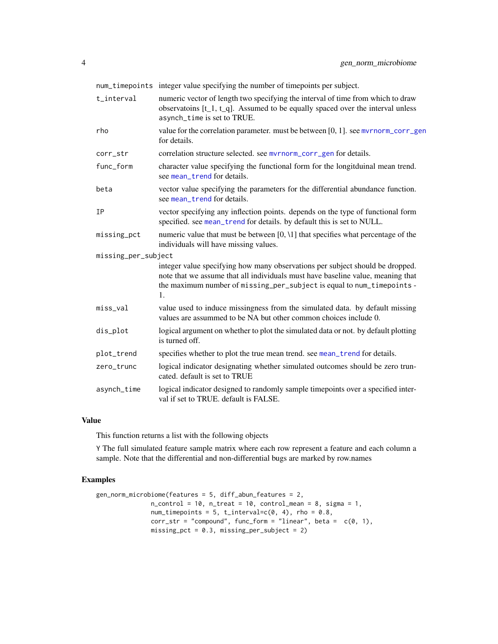<span id="page-3-0"></span>

|                     | num_timepoints integer value specifying the number of timepoints per subject.                                                                                                                                                                    |
|---------------------|--------------------------------------------------------------------------------------------------------------------------------------------------------------------------------------------------------------------------------------------------|
| t_interval          | numeric vector of length two specifying the interval of time from which to draw<br>observatoins $[t_1, t_q]$ . Assumed to be equally spaced over the interval unless<br>asynch_time is set to TRUE.                                              |
| rho                 | value for the correlation parameter. must be between $[0, 1]$ . see myrnorm_corr_gen<br>for details.                                                                                                                                             |
| corr_str            | correlation structure selected. see myrnorm_corr_gen for details.                                                                                                                                                                                |
| func_form           | character value specifying the functional form for the longitduinal mean trend.<br>see mean trend for details.                                                                                                                                   |
| beta                | vector value specifying the parameters for the differential abundance function.<br>see mean_trend for details.                                                                                                                                   |
| <b>IP</b>           | vector specifying any inflection points. depends on the type of functional form<br>specified. see mean_trend for details. by default this is set to NULL.                                                                                        |
| missing_pct         | numeric value that must be between $[0, 1]$ that specifies what percentage of the<br>individuals will have missing values.                                                                                                                       |
| missing_per_subject |                                                                                                                                                                                                                                                  |
|                     | integer value specifying how many observations per subject should be dropped.<br>note that we assume that all individuals must have baseline value, meaning that<br>the maximum number of missing_per_subject is equal to num_timepoints -<br>1. |
| miss_val            | value used to induce missingness from the simulated data. by default missing<br>values are assummed to be NA but other common choices include 0.                                                                                                 |
| dis_plot            | logical argument on whether to plot the simulated data or not. by default plotting<br>is turned off.                                                                                                                                             |
| plot_trend          | specifies whether to plot the true mean trend. see mean_trend for details.                                                                                                                                                                       |
| zero_trunc          | logical indicator designating whether simulated outcomes should be zero trun-<br>cated. default is set to TRUE                                                                                                                                   |
| asynch_time         | logical indicator designed to randomly sample timepoints over a specified inter-<br>val if set to TRUE. default is FALSE.                                                                                                                        |

#### Value

This function returns a list with the following objects

Y The full simulated feature sample matrix where each row represent a feature and each column a sample. Note that the differential and non-differential bugs are marked by row.names

```
gen_norm_microbiome(features = 5, diff_abun_features = 2,
                n_{\text{control}} = 10, n_{\text{t}} = 10, \text{control}_{\text{mean}} = 8, sigma = 1,
                num_timepoints = 5, t_interval=c(0, 4), rho = 0.8,
                corr\_str = "compound", func\_form = "linear", beta = c(0, 1),missing_pct = 0.3, missing_per_subject = 2)
```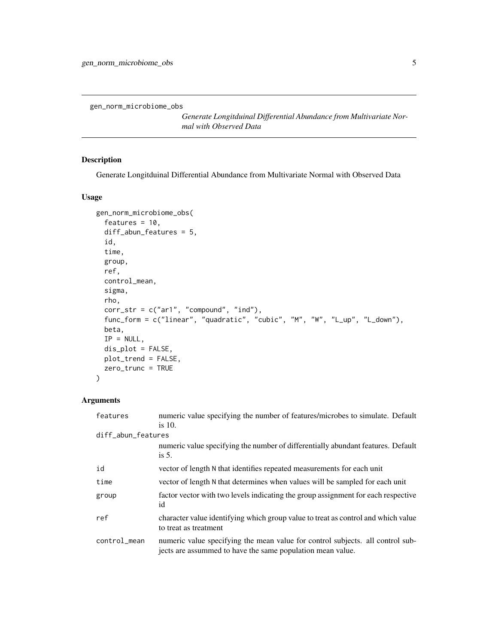<span id="page-4-1"></span><span id="page-4-0"></span>gen\_norm\_microbiome\_obs

*Generate Longitduinal Differential Abundance from Multivariate Normal with Observed Data*

#### Description

Generate Longitduinal Differential Abundance from Multivariate Normal with Observed Data

#### Usage

```
gen_norm_microbiome_obs(
  features = 10,
 diff_abun_features = 5,
  id,
  time,
  group,
  ref,
  control_mean,
  sigma,
  rho,
  corr_str = c("ar1", "compound", "ind"),
  func_form = c("linear", "quadratic", "cubic", "M", "W", "L_up", "L_down"),
 beta,
  IP = NULL,dis_plot = FALSE,
 plot_trend = FALSE,
 zero_trunc = TRUE
)
```
#### Arguments

| features           | numeric value specifying the number of features/microbes to simulate. Default                                                                |
|--------------------|----------------------------------------------------------------------------------------------------------------------------------------------|
|                    | is $10$ .                                                                                                                                    |
| diff_abun_features |                                                                                                                                              |
|                    | numeric value specifying the number of differentially abundant features. Default                                                             |
|                    | is $5$ .                                                                                                                                     |
| id                 | vector of length N that identifies repeated measurements for each unit                                                                       |
| time               | vector of length N that determines when values will be sampled for each unit                                                                 |
| group              | factor vector with two levels indicating the group assignment for each respective<br>id                                                      |
| ref                | character value identifying which group value to treat as control and which value<br>to treat as treatment                                   |
| control_mean       | numeric value specifying the mean value for control subjects. all control sub-<br>jects are assummed to have the same population mean value. |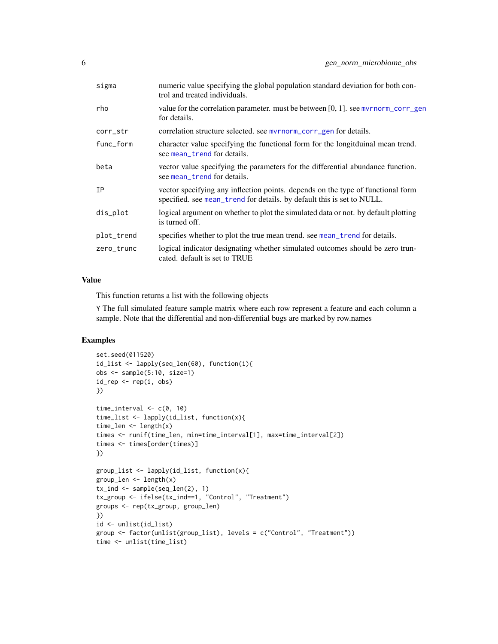<span id="page-5-0"></span>

| sigma      | numeric value specifying the global population standard deviation for both con-<br>trol and treated individuals.                                          |
|------------|-----------------------------------------------------------------------------------------------------------------------------------------------------------|
| rho        | value for the correlation parameter. must be between $[0, 1]$ . see myrnorm_corr_gen<br>for details.                                                      |
| corr_str   | correlation structure selected, see myrnorm_corr_gen for details.                                                                                         |
| func_form  | character value specifying the functional form for the longitduinal mean trend.<br>see mean_trend for details.                                            |
| beta       | vector value specifying the parameters for the differential abundance function.<br>see mean_trend for details.                                            |
| IΡ         | vector specifying any inflection points. depends on the type of functional form<br>specified. see mean_trend for details. by default this is set to NULL. |
| dis_plot   | logical argument on whether to plot the simulated data or not. by default plotting<br>is turned off.                                                      |
| plot_trend | specifies whether to plot the true mean trend. see mean_trend for details.                                                                                |
| zero_trunc | logical indicator designating whether simulated outcomes should be zero trun-<br>cated. default is set to TRUE                                            |

#### Value

This function returns a list with the following objects

Y The full simulated feature sample matrix where each row represent a feature and each column a sample. Note that the differential and non-differential bugs are marked by row.names

```
set.seed(011520)
id_list <- lapply(seq_len(60), function(i){
obs <- sample(5:10, size=1)
id_{rep} \leftarrow rep(i, obs)})
time_interval \leq c(0, 10)
time_list <- lapply(id_list, function(x){
time_len <- length(x)
times <- runif(time_len, min=time_interval[1], max=time_interval[2])
times <- times[order(times)]
})
group_list <- lapply(id_list, function(x){
group_len <- length(x)
tx_ind <- sample(seq_len(2), 1)
tx_group <- ifelse(tx_ind==1, "Control", "Treatment")
groups <- rep(tx_group, group_len)
})
id <- unlist(id_list)
group <- factor(unlist(group_list), levels = c("Control", "Treatment"))
time <- unlist(time_list)
```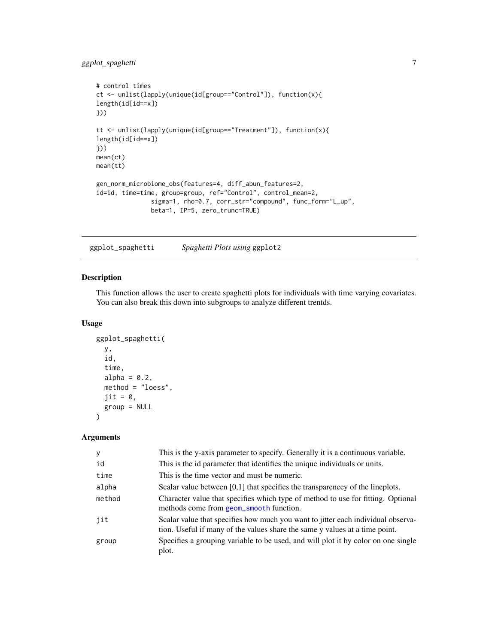#### <span id="page-6-0"></span>ggplot\_spaghetti 7

```
# control times
ct <- unlist(lapply(unique(id[group=="Control"]), function(x){
length(id[id==x])
}))
tt <- unlist(lapply(unique(id[group=="Treatment"]), function(x){
length(id[id==x])
}))
mean(ct)
mean(tt)
gen_norm_microbiome_obs(features=4, diff_abun_features=2,
id=id, time=time, group=group, ref="Control", control_mean=2,
               sigma=1, rho=0.7, corr_str="compound", func_form="L_up",
               beta=1, IP=5, zero_trunc=TRUE)
```
ggplot\_spaghetti *Spaghetti Plots using* ggplot2

#### Description

This function allows the user to create spaghetti plots for individuals with time varying covariates. You can also break this down into subgroups to analyze different trentds.

#### Usage

```
ggplot_spaghetti(
  y,
  id,
  time,
  alpha = 0.2,
  method = "loess",
  \text{jit} = \emptyset,group = NULL
)
```
#### Arguments

| У      | This is the y-axis parameter to specify. Generally it is a continuous variable.                                                                                 |
|--------|-----------------------------------------------------------------------------------------------------------------------------------------------------------------|
| id     | This is the id parameter that identifies the unique individuals or units.                                                                                       |
| time   | This is the time vector and must be numeric.                                                                                                                    |
| alpha  | Scalar value between $[0,1]$ that specifies the transparencey of the lineplots.                                                                                 |
| method | Character value that specifies which type of method to use for fitting. Optional<br>methods come from geom_smooth function.                                     |
| jit    | Scalar value that specifies how much you want to jitter each individual observa-<br>tion. Useful if many of the values share the same y values at a time point. |
| group  | Specifies a grouping variable to be used, and will plot it by color on one single<br>plot.                                                                      |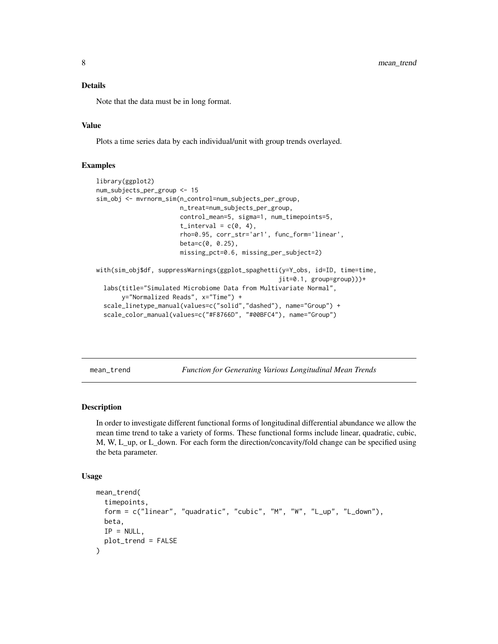#### <span id="page-7-0"></span>Details

Note that the data must be in long format.

#### Value

Plots a time series data by each individual/unit with group trends overlayed.

#### Examples

```
library(ggplot2)
num_subjects_per_group <- 15
sim_obj <- mvrnorm_sim(n_control=num_subjects_per_group,
                       n_treat=num_subjects_per_group,
                       control_mean=5, sigma=1, num_timepoints=5,
                       t_interval = c(0, 4),
                       rho=0.95, corr_str='ar1', func_form='linear',
                       beta=c(0, 0.25),
                       missing_pct=0.6, missing_per_subject=2)
with(sim_obj$df, suppressWarnings(ggplot_spaghetti(y=Y_obs, id=ID, time=time,
                                                  jit=0.1, group=group)))+
  labs(title="Simulated Microbiome Data from Multivariate Normal",
       y="Normalized Reads", x="Time") +
  scale_linetype_manual(values=c("solid","dashed"), name="Group") +
  scale_color_manual(values=c("#F8766D", "#00BFC4"), name="Group")
```
<span id="page-7-1"></span>mean\_trend *Function for Generating Various Longitudinal Mean Trends*

#### Description

In order to investigate different functional forms of longitudinal differential abundance we allow the mean time trend to take a variety of forms. These functional forms include linear, quadratic, cubic, M, W, L\_up, or L\_down. For each form the direction/concavity/fold change can be specified using the beta parameter.

#### Usage

```
mean_trend(
  timepoints,
  form = c("linear", "quadratic", "cubic", "M", "W", "L_up", "L_down"),
 beta,
 IP = NULL,plot_trend = FALSE
)
```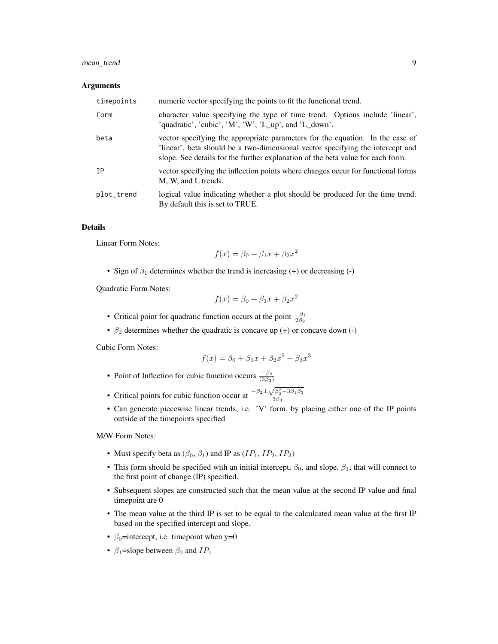#### mean\_trend 9

#### Arguments

| timepoints | numeric vector specifying the points to fit the functional trend.                                                                                                                                                                                 |
|------------|---------------------------------------------------------------------------------------------------------------------------------------------------------------------------------------------------------------------------------------------------|
| form       | character value specifying the type of time trend. Options include 'linear',<br>'quadratic', 'cubic', 'M', 'W', 'L_up', and 'L_down'.                                                                                                             |
| beta       | vector specifying the appropriate parameters for the equation. In the case of<br>linear', beta should be a two-dimensional vector specifying the intercept and<br>slope. See details for the further explanation of the beta value for each form. |
| <b>TP</b>  | vector specifying the inflection points where changes occur for functional forms<br>M, W, and L trends.                                                                                                                                           |
| plot_trend | logical value indicating whether a plot should be produced for the time trend.<br>By default this is set to TRUE.                                                                                                                                 |

#### Details

Linear Form Notes:

$$
f(x) = \beta_0 + \beta_1 x + \beta_2 x^2
$$

• Sign of  $\beta_1$  determines whether the trend is increasing (+) or decreasing (-)

Quadratic Form Notes:

$$
f(x) = \beta_0 + \beta_1 x + \beta_2 x^2
$$

- Critical point for quadratic function occurs at the point  $\frac{-\beta_1}{2\beta_2}$
- $\beta_2$  determines whether the quadratic is concave up (+) or concave down (-)

Cubic Form Notes:

$$
f(x) = \beta_0 + \beta_1 x + \beta_2 x^2 + \beta_3 x^3
$$

- Point of Inflection for cubic function occurs  $\frac{-\beta_2}{(3\beta_3)}$
- Critical points for cubic function occur at  $\frac{-\beta_2 \pm \beta_3}{\beta_4}$  $\sqrt{\beta_2^2 - 3\beta_1\beta_3}$  $3\beta_3$
- Can generate piecewise linear trends, i.e. 'V' form, by placing either one of the IP points outside of the timepoints specified

M/W Form Notes:

- Must specify beta as  $(\beta_0, \beta_1)$  and IP as  $(IP_1, IP_2, IP_3)$
- This form should be specified with an initial intercept,  $\beta_0$ , and slope,  $\beta_1$ , that will connect to the first point of change (IP) specified.
- Subsequent slopes are constructed such that the mean value at the second IP value and final timepoint are 0
- The mean value at the third IP is set to be equal to the calculcated mean value at the first IP based on the specified intercept and slope.
- $\beta_0$ =intercept, i.e. timepoint when y=0
- $\beta_1$ =slope between  $\beta_0$  and  $IP_1$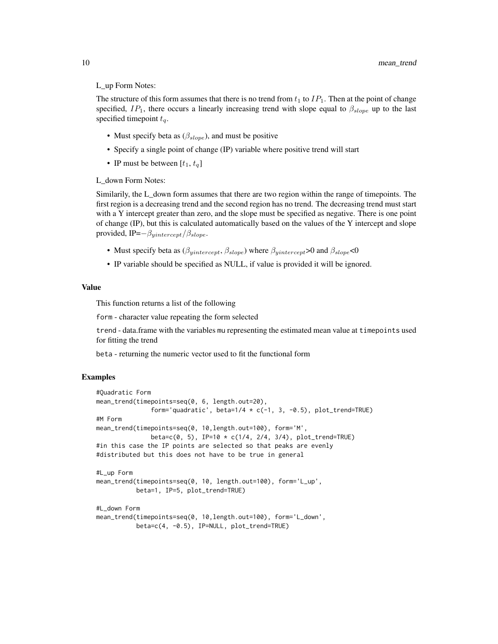#### L\_up Form Notes:

The structure of this form assumes that there is no trend from  $t_1$  to  $IP_1$ . Then at the point of change specified,  $IP_1$ , there occurs a linearly increasing trend with slope equal to  $\beta_{slope}$  up to the last specified timepoint  $t_q$ .

- Must specify beta as  $(\beta_{slope})$ , and must be positive
- Specify a single point of change (IP) variable where positive trend will start
- IP must be between  $[t_1, t_q]$

L\_down Form Notes:

Similarily, the L\_down form assumes that there are two region within the range of timepoints. The first region is a decreasing trend and the second region has no trend. The decreasing trend must start with a Y intercept greater than zero, and the slope must be specified as negative. There is one point of change (IP), but this is calculated automatically based on the values of the Y intercept and slope provided, IP= $-\beta_{yintercept}/\beta_{slope}$ .

- Must specify beta as  $(\beta_{yintercept}, \beta_{slope})$  where  $\beta_{yintercept} > 0$  and  $\beta_{slope} < 0$
- IP variable should be specified as NULL, if value is provided it will be ignored.

#### Value

This function returns a list of the following

form - character value repeating the form selected

trend - data.frame with the variables mu representing the estimated mean value at timepoints used for fitting the trend

beta - returning the numeric vector used to fit the functional form

```
#Quadratic Form
mean_trend(timepoints=seq(0, 6, length.out=20),
               form='quadratic', beta=1/4 * c(-1, 3, -0.5), plot_trend=TRUE)
#M Form
mean_trend(timepoints=seq(0, 10,length.out=100), form='M',
               beta = c(0, 5), IP=10 * c(1/4, 2/4, 3/4), plot_trend=TRUE)
#in this case the IP points are selected so that peaks are evenly
#distributed but this does not have to be true in general
#L_up Form
mean_trend(timepoints=seq(0, 10, length.out=100), form='L_up',
           beta=1, IP=5, plot_trend=TRUE)
#L_down Form
mean_trend(timepoints=seq(0, 10,length.out=100), form='L_down',
           beta=c(4, -0.5), IP=NULL, plot_trend=TRUE)
```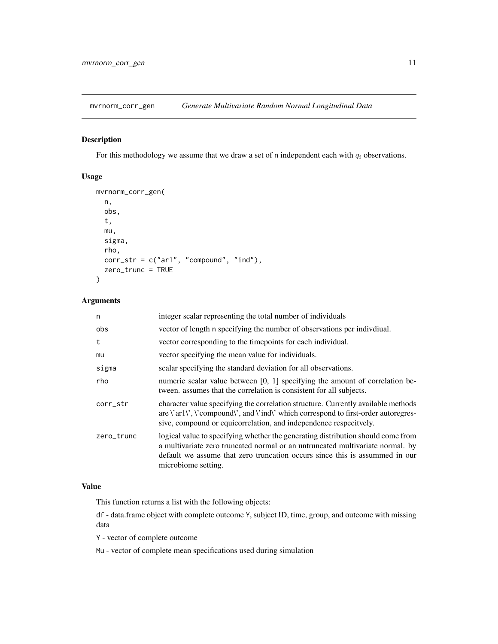<span id="page-10-1"></span><span id="page-10-0"></span>mvrnorm\_corr\_gen *Generate Multivariate Random Normal Longitudinal Data*

#### Description

For this methodology we assume that we draw a set of n independent each with  $q_i$  observations.

#### Usage

```
mvrnorm_corr_gen(
 n,
 obs,
  t,
  mu,
  sigma,
  rho,
 corr\_str = c("ar1", "compound", "ind"),zero_trunc = TRUE
)
```
#### Arguments

| n          | integer scalar representing the total number of individuals                                                                                                                                                                                                                                                |
|------------|------------------------------------------------------------------------------------------------------------------------------------------------------------------------------------------------------------------------------------------------------------------------------------------------------------|
| obs        | vector of length n specifying the number of observations per indivdiual.                                                                                                                                                                                                                                   |
| t          | vector corresponding to the time points for each individual.                                                                                                                                                                                                                                               |
| mu         | vector specifying the mean value for individuals.                                                                                                                                                                                                                                                          |
| sigma      | scalar specifying the standard deviation for all observations.                                                                                                                                                                                                                                             |
| rho        | numeric scalar value between [0, 1] specifying the amount of correlation be-<br>tween, assumes that the correlation is consistent for all subjects.                                                                                                                                                        |
| corr_str   | character value specifying the correlation structure. Currently available methods<br>are $\langle \text{arl}\rangle$ , $\langle \text{compound}\rangle$ , and $\langle \text{ind}\rangle$ which correspond to first-order autoregres-<br>sive, compound or equicorrelation, and independence respecitvely. |
| zero_trunc | logical value to specifying whether the generating distribution should come from<br>a multivariate zero truncated normal or an untruncated multivariate normal. by<br>default we assume that zero truncation occurs since this is assummed in our<br>microbiome setting.                                   |

#### Value

This function returns a list with the following objects:

df - data.frame object with complete outcome Y, subject ID, time, group, and outcome with missing data

Y - vector of complete outcome

Mu - vector of complete mean specifications used during simulation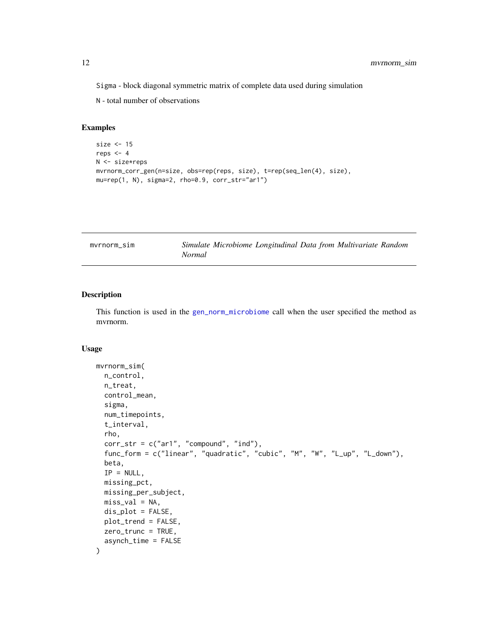<span id="page-11-0"></span>Sigma - block diagonal symmetric matrix of complete data used during simulation

N - total number of observations

#### Examples

```
size <-15reps <-4N <- size*reps
mvrnorm_corr_gen(n=size, obs=rep(reps, size), t=rep(seq_len(4), size),
mu=rep(1, N), sigma=2, rho=0.9, corr_str="ar1")
```
<span id="page-11-1"></span>

| mvrnorm sim |               | Simulate Microbiome Longitudinal Data from Multivariate Random |  |  |
|-------------|---------------|----------------------------------------------------------------|--|--|
|             | <i>Normal</i> |                                                                |  |  |

#### Description

This function is used in the [gen\\_norm\\_microbiome](#page-2-1) call when the user specified the method as mvrnorm.

#### Usage

```
mvrnorm_sim(
  n_control,
  n_treat,
  control_mean,
  sigma,
  num_timepoints,
  t_interval,
  rho,
  corr\_str = c("ar1", "compound", "ind"),
  func_form = c("linear", "quadratic", "cubic", "M", "W", "L_up", "L_down"),
  beta,
  IP = NULL,missing_pct,
 missing_per_subject,
 miss\_val = NA,
  dis_plot = FALSE,
 plot_trend = FALSE,
 zero_trunc = TRUE,
  asynch_time = FALSE
)
```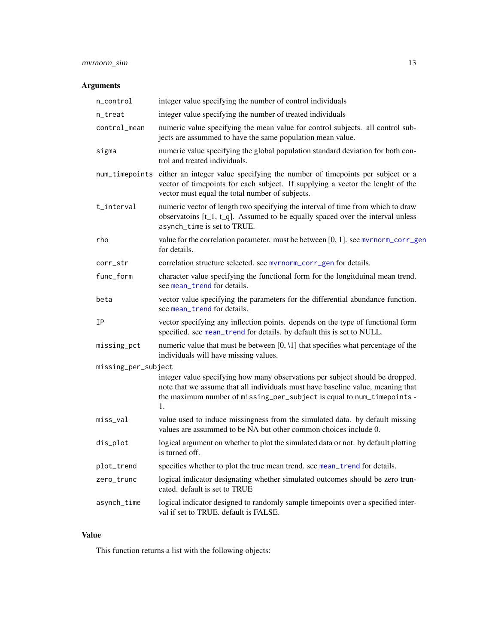#### <span id="page-12-0"></span>mvrnorm\_sim 13

### Arguments

| n_control           | integer value specifying the number of control individuals                                                                                                                                                                                       |
|---------------------|--------------------------------------------------------------------------------------------------------------------------------------------------------------------------------------------------------------------------------------------------|
| n_treat             | integer value specifying the number of treated individuals                                                                                                                                                                                       |
| control_mean        | numeric value specifying the mean value for control subjects. all control sub-<br>jects are assummed to have the same population mean value.                                                                                                     |
| sigma               | numeric value specifying the global population standard deviation for both con-<br>trol and treated individuals.                                                                                                                                 |
|                     | num_timepoints either an integer value specifying the number of timepoints per subject or a<br>vector of timepoints for each subject. If supplying a vector the lenght of the<br>vector must equal the total number of subjects.                 |
| t_interval          | numeric vector of length two specifying the interval of time from which to draw<br>observatoins $[t_1, t_q]$ . Assumed to be equally spaced over the interval unless<br>asynch_time is set to TRUE.                                              |
| rho                 | value for the correlation parameter. must be between [0, 1]. see mvrnorm_corr_gen<br>for details.                                                                                                                                                |
| corr_str            | correlation structure selected. see mvrnorm_corr_gen for details.                                                                                                                                                                                |
| func_form           | character value specifying the functional form for the longitduinal mean trend.<br>see mean_trend for details.                                                                                                                                   |
| beta                | vector value specifying the parameters for the differential abundance function.<br>see mean trend for details.                                                                                                                                   |
| IP                  | vector specifying any inflection points. depends on the type of functional form<br>specified. see mean_trend for details. by default this is set to NULL.                                                                                        |
| missing_pct         | numeric value that must be between $[0, 1]$ that specifies what percentage of the<br>individuals will have missing values.                                                                                                                       |
| missing_per_subject |                                                                                                                                                                                                                                                  |
|                     | integer value specifying how many observations per subject should be dropped.<br>note that we assume that all individuals must have baseline value, meaning that<br>the maximum number of missing_per_subject is equal to num_timepoints -<br>1. |
| miss_val            | value used to induce missingness from the simulated data. by default missing<br>values are assummed to be NA but other common choices include 0.                                                                                                 |
| dis_plot            | logical argument on whether to plot the simulated data or not. by default plotting<br>is turned off.                                                                                                                                             |
| plot_trend          | specifies whether to plot the true mean trend. see mean_trend for details.                                                                                                                                                                       |
| zero_trunc          | logical indicator designating whether simulated outcomes should be zero trun-<br>cated. default is set to TRUE                                                                                                                                   |
| asynch_time         | logical indicator designed to randomly sample timepoints over a specified inter-<br>val if set to TRUE. default is FALSE.                                                                                                                        |

#### Value

This function returns a list with the following objects: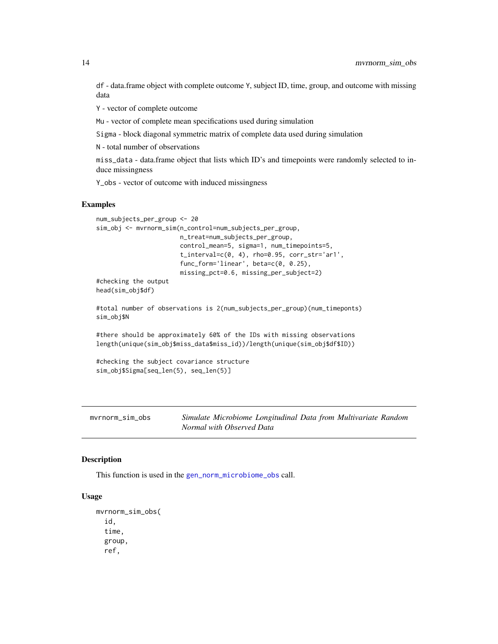<span id="page-13-0"></span>df - data.frame object with complete outcome Y, subject ID, time, group, and outcome with missing data

Y - vector of complete outcome

Mu - vector of complete mean specifications used during simulation

Sigma - block diagonal symmetric matrix of complete data used during simulation

N - total number of observations

miss\_data - data.frame object that lists which ID's and timepoints were randomly selected to induce missingness

Y\_obs - vector of outcome with induced missingness

#### Examples

```
num_subjects_per_group <- 20
sim_obj <- mvrnorm_sim(n_control=num_subjects_per_group,
                       n_treat=num_subjects_per_group,
                       control_mean=5, sigma=1, num_timepoints=5,
                       t_interval=c(0, 4), rho=0.95, corr_str='ar1',
                       func_form='linear', beta=c(0, 0.25),
                       missing_pct=0.6, missing_per_subject=2)
#checking the output
head(sim_obj$df)
#total number of observations is 2(num_subjects_per_group)(num_timeponts)
sim_obj$N
#there should be approximately 60% of the IDs with missing observations
length(unique(sim_obj$miss_data$miss_id))/length(unique(sim_obj$df$ID))
#checking the subject covariance structure
sim_obj$Sigma[seq_len(5), seq_len(5)]
```
mvrnorm\_sim\_obs *Simulate Microbiome Longitudinal Data from Multivariate Random Normal with Observed Data*

#### Description

This function is used in the [gen\\_norm\\_microbiome\\_obs](#page-4-1) call.

#### Usage

```
mvrnorm_sim_obs(
  id,
  time,
  group,
  ref,
```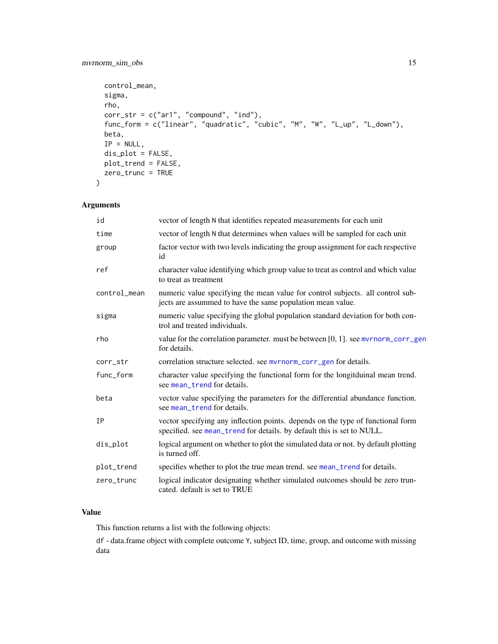#### <span id="page-14-0"></span>mvrnorm\_sim\_obs 15

```
control_mean,
 sigma,
 rho,
 corr\_str = c("ar1", "compound", "ind"),
 func_form = c("linear", "quadratic", "cubic", "M", "W", "L_up", "L_down"),
 beta,
 IP = NULL,dis_plot = FALSE,
 plot_trend = FALSE,
 zero_trunc = TRUE
\mathcal{L}
```
#### Arguments

| id           | vector of length N that identifies repeated measurements for each unit                                                                                    |
|--------------|-----------------------------------------------------------------------------------------------------------------------------------------------------------|
| time         | vector of length N that determines when values will be sampled for each unit                                                                              |
| group        | factor vector with two levels indicating the group assignment for each respective<br>id                                                                   |
| ref          | character value identifying which group value to treat as control and which value<br>to treat as treatment                                                |
| control_mean | numeric value specifying the mean value for control subjects. all control sub-<br>jects are assummed to have the same population mean value.              |
| sigma        | numeric value specifying the global population standard deviation for both con-<br>trol and treated individuals.                                          |
| rho          | value for the correlation parameter, must be between [0, 1], see myrnorm_corr_gen<br>for details.                                                         |
| corr_str     | correlation structure selected. see myrnorm_corr_gen for details.                                                                                         |
| func_form    | character value specifying the functional form for the longitduinal mean trend.<br>see mean trend for details.                                            |
| beta         | vector value specifying the parameters for the differential abundance function.<br>see mean_trend for details.                                            |
| ΙP           | vector specifying any inflection points. depends on the type of functional form<br>specified. see mean_trend for details. by default this is set to NULL. |
| dis_plot     | logical argument on whether to plot the simulated data or not. by default plotting<br>is turned off.                                                      |
| plot_trend   | specifies whether to plot the true mean trend. see mean_trend for details.                                                                                |
| zero_trunc   | logical indicator designating whether simulated outcomes should be zero trun-<br>cated. default is set to TRUE                                            |

#### Value

This function returns a list with the following objects:

df - data.frame object with complete outcome Y, subject ID, time, group, and outcome with missing data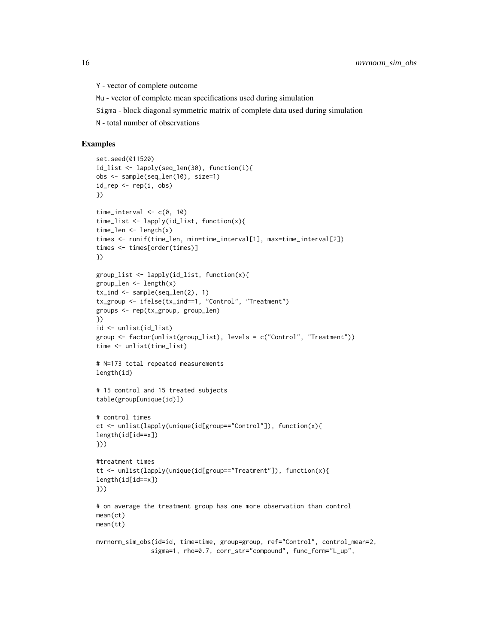Y - vector of complete outcome

Mu - vector of complete mean specifications used during simulation

Sigma - block diagonal symmetric matrix of complete data used during simulation

N - total number of observations

```
set.seed(011520)
id_list <- lapply(seq_len(30), function(i){
obs <- sample(seq_len(10), size=1)
id_{rep} \leftarrow rep(i, obs)})
time_interval \leq c(0, 10)time_list <- lapply(id_list, function(x){
time_len <- length(x)
times <- runif(time_len, min=time_interval[1], max=time_interval[2])
times <- times[order(times)]
})
group_list <- lapply(id_list, function(x){
group_len <- length(x)
tx_ind <- sample(seq_len(2), 1)
tx_group <- ifelse(tx_ind==1, "Control", "Treatment")
groups <- rep(tx_group, group_len)
})
id <- unlist(id_list)
group <- factor(unlist(group_list), levels = c("Control", "Treatment"))
time <- unlist(time_list)
# N=173 total repeated measurements
length(id)
# 15 control and 15 treated subjects
table(group[unique(id)])
# control times
ct <- unlist(lapply(unique(id[group=="Control"]), function(x){
length(id[id==x])
}))
#treatment times
tt <- unlist(lapply(unique(id[group=="Treatment"]), function(x){
length(id[id==x])
}))
# on average the treatment group has one more observation than control
mean(ct)
mean(tt)
mvrnorm_sim_obs(id=id, time=time, group=group, ref="Control", control_mean=2,
               sigma=1, rho=0.7, corr_str="compound", func_form="L_up",
```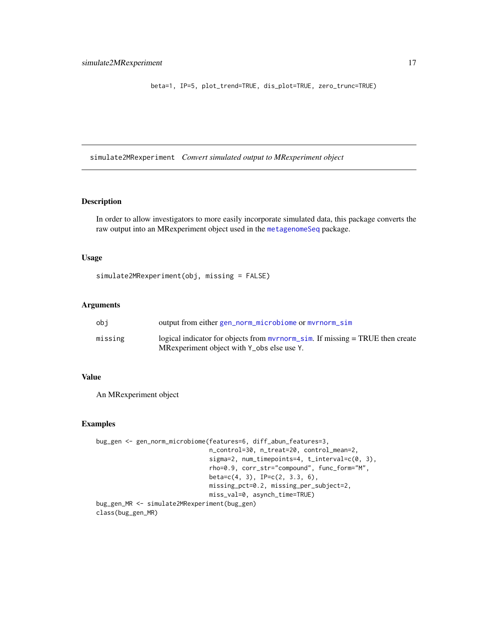<span id="page-16-0"></span>beta=1, IP=5, plot\_trend=TRUE, dis\_plot=TRUE, zero\_trunc=TRUE)

simulate2MRexperiment *Convert simulated output to MRexperiment object*

#### Description

In order to allow investigators to more easily incorporate simulated data, this package converts the raw output into an MRexperiment object used in the [metagenomeSeq](#page-0-0) package.

#### Usage

```
simulate2MRexperiment(obj, missing = FALSE)
```
#### Arguments

| obi     | output from either gen_norm_microbiome or myrnorm_sim                              |
|---------|------------------------------------------------------------------------------------|
| missing | logical indicator for objects from $mvmorm\_sim$ . If missing $= TRUE$ then create |
|         | MRexperiment object with Y_obs else use Y.                                         |

#### Value

An MRexperiment object

```
bug_gen <- gen_norm_microbiome(features=6, diff_abun_features=3,
                               n_control=30, n_treat=20, control_mean=2,
                               sigma=2, num_timepoints=4, t_interval=c(0, 3),
                               rho=0.9, corr_str="compound", func_form="M",
                               beta=c(4, 3), IP=c(2, 3.3, 6),
                               missing_pct=0.2, missing_per_subject=2,
                               miss_val=0, asynch_time=TRUE)
bug_gen_MR <- simulate2MRexperiment(bug_gen)
class(bug_gen_MR)
```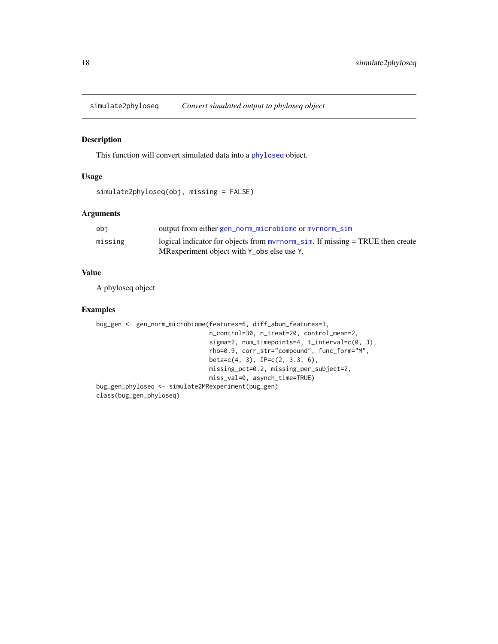<span id="page-17-0"></span>simulate2phyloseq *Convert simulated output to phyloseq object*

#### Description

This function will convert simulated data into a [phyloseq](#page-0-0) object.

#### Usage

```
simulate2phyloseq(obj, missing = FALSE)
```
#### Arguments

| obi     | output from either gen_norm_microbiome or myrnorm_sim                              |
|---------|------------------------------------------------------------------------------------|
| missing | logical indicator for objects from $mvmorm\_sim$ . If missing $= TRUE$ then create |
|         | MRexperiment object with Y_obs else use Y.                                         |

#### Value

A phyloseq object

```
bug_gen <- gen_norm_microbiome(features=6, diff_abun_features=3,
                              n_control=30, n_treat=20, control_mean=2,
                               sigma=2, num_timepoints=4, t_interval=c(0, 3),
                               rho=0.9, corr_str="compound", func_form="M",
                               beta=c(4, 3), IP=c(2, 3.3, 6),missing_pct=0.2, missing_per_subject=2,
                               miss_val=0, asynch_time=TRUE)
bug_gen_phyloseq <- simulate2MRexperiment(bug_gen)
class(bug_gen_phyloseq)
```